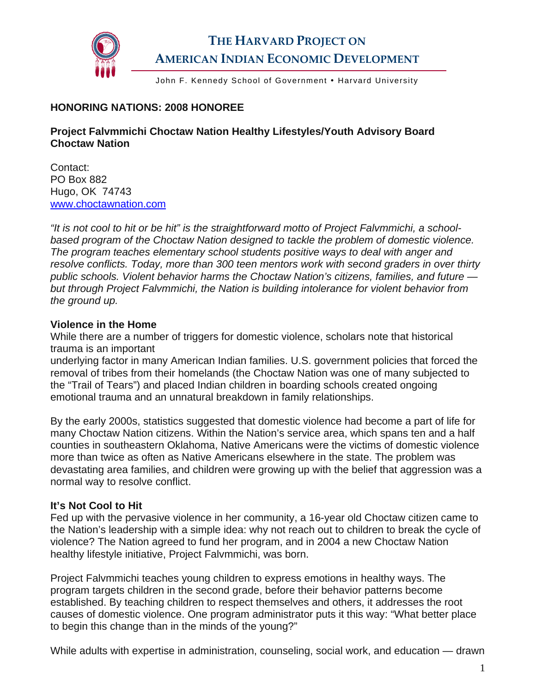

# **THE HARVARD PROJECT ON AMERICAN INDIAN ECONOMIC DEVELOPMENT**

John F. Kennedy School of Government . Harvard University

### **HONORING NATIONS: 2008 HONOREE**

### **Project Falvmmichi Choctaw Nation Healthy Lifestyles/Youth Advisory Board Choctaw Nation**

Contact: PO Box 882 Hugo, OK 74743 [www.choctawnation.com](http://www.choctawnation.com/) 

*"It is not cool to hit or be hit" is the straightforward motto of Project Falvmmichi, a schoolbased program of the Choctaw Nation designed to tackle the problem of domestic violence. The program teaches elementary school students positive ways to deal with anger and resolve conflicts. Today, more than 300 teen mentors work with second graders in over thirty public schools. Violent behavior harms the Choctaw Nation's citizens, families, and future but through Project Falvmmichi, the Nation is building intolerance for violent behavior from the ground up.* 

#### **Violence in the Home**

While there are a number of triggers for domestic violence, scholars note that historical trauma is an important

underlying factor in many American Indian families. U.S. government policies that forced the removal of tribes from their homelands (the Choctaw Nation was one of many subjected to the "Trail of Tears") and placed Indian children in boarding schools created ongoing emotional trauma and an unnatural breakdown in family relationships.

By the early 2000s, statistics suggested that domestic violence had become a part of life for many Choctaw Nation citizens. Within the Nation's service area, which spans ten and a half counties in southeastern Oklahoma, Native Americans were the victims of domestic violence more than twice as often as Native Americans elsewhere in the state. The problem was devastating area families, and children were growing up with the belief that aggression was a normal way to resolve conflict.

## **It's Not Cool to Hit**

Fed up with the pervasive violence in her community, a 16-year old Choctaw citizen came to the Nation's leadership with a simple idea: why not reach out to children to break the cycle of violence? The Nation agreed to fund her program, and in 2004 a new Choctaw Nation healthy lifestyle initiative, Project Falvmmichi, was born.

Project Falvmmichi teaches young children to express emotions in healthy ways. The program targets children in the second grade, before their behavior patterns become established. By teaching children to respect themselves and others, it addresses the root causes of domestic violence. One program administrator puts it this way: "What better place to begin this change than in the minds of the young?"

While adults with expertise in administration, counseling, social work, and education — drawn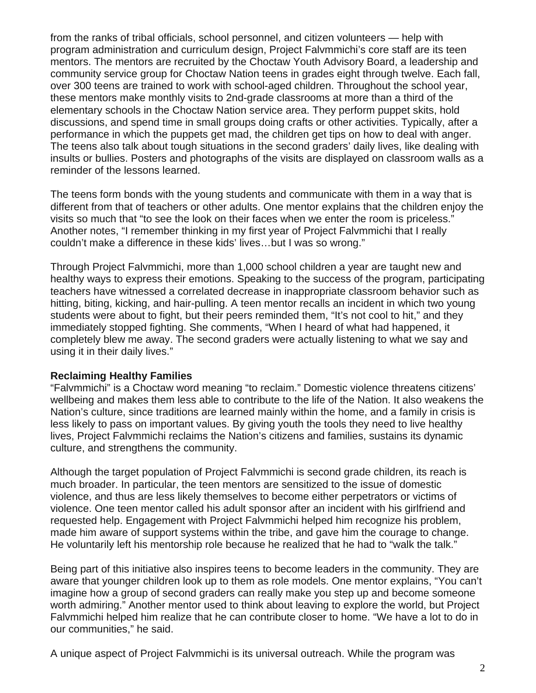from the ranks of tribal officials, school personnel, and citizen volunteers — help with program administration and curriculum design, Project Falvmmichi's core staff are its teen mentors. The mentors are recruited by the Choctaw Youth Advisory Board, a leadership and community service group for Choctaw Nation teens in grades eight through twelve. Each fall, over 300 teens are trained to work with school-aged children. Throughout the school year, these mentors make monthly visits to 2nd-grade classrooms at more than a third of the elementary schools in the Choctaw Nation service area. They perform puppet skits, hold discussions, and spend time in small groups doing crafts or other activities. Typically, after a performance in which the puppets get mad, the children get tips on how to deal with anger. The teens also talk about tough situations in the second graders' daily lives, like dealing with insults or bullies. Posters and photographs of the visits are displayed on classroom walls as a reminder of the lessons learned.

The teens form bonds with the young students and communicate with them in a way that is different from that of teachers or other adults. One mentor explains that the children enjoy the visits so much that "to see the look on their faces when we enter the room is priceless." Another notes, "I remember thinking in my first year of Project Falvmmichi that I really couldn't make a difference in these kids' lives…but I was so wrong."

Through Project Falvmmichi, more than 1,000 school children a year are taught new and healthy ways to express their emotions. Speaking to the success of the program, participating teachers have witnessed a correlated decrease in inappropriate classroom behavior such as hitting, biting, kicking, and hair-pulling. A teen mentor recalls an incident in which two young students were about to fight, but their peers reminded them, "It's not cool to hit," and they immediately stopped fighting. She comments, "When I heard of what had happened, it completely blew me away. The second graders were actually listening to what we say and using it in their daily lives."

#### **Reclaiming Healthy Families**

"Falvmmichi" is a Choctaw word meaning "to reclaim." Domestic violence threatens citizens' wellbeing and makes them less able to contribute to the life of the Nation. It also weakens the Nation's culture, since traditions are learned mainly within the home, and a family in crisis is less likely to pass on important values. By giving youth the tools they need to live healthy lives, Project Falvmmichi reclaims the Nation's citizens and families, sustains its dynamic culture, and strengthens the community.

Although the target population of Project Falvmmichi is second grade children, its reach is much broader. In particular, the teen mentors are sensitized to the issue of domestic violence, and thus are less likely themselves to become either perpetrators or victims of violence. One teen mentor called his adult sponsor after an incident with his girlfriend and requested help. Engagement with Project Falvmmichi helped him recognize his problem, made him aware of support systems within the tribe, and gave him the courage to change. He voluntarily left his mentorship role because he realized that he had to "walk the talk."

Being part of this initiative also inspires teens to become leaders in the community. They are aware that younger children look up to them as role models. One mentor explains, "You can't imagine how a group of second graders can really make you step up and become someone worth admiring." Another mentor used to think about leaving to explore the world, but Project Falvmmichi helped him realize that he can contribute closer to home. "We have a lot to do in our communities," he said.

A unique aspect of Project Falvmmichi is its universal outreach. While the program was